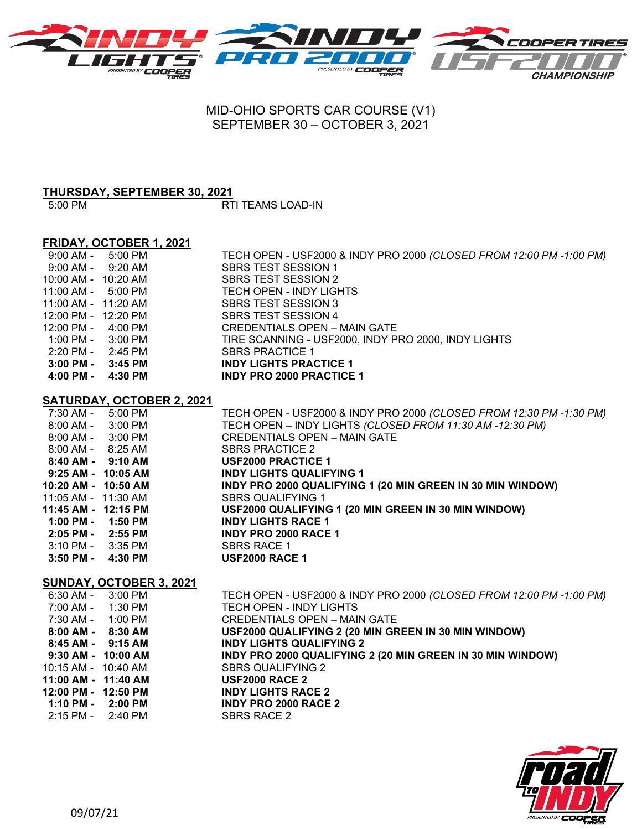

## MID-OHIO SPORTS CAR COURSE (V1) SEPTEMBER 30 – OCTOBER 3, 2021

# **THURSDAY, SEPTEMBER 30, 2021**

 $\overline{RT}$ I TEAMS LOAD-IN

### **FRIDAY, OCTOBER 1, 2021**

| 9:00 AM -                            | 5:00 PM           | TECH OPEN - USF2000 & INDY PRO 2000 (CLOSED FROM 12:00 PM -1:00 PM) |
|--------------------------------------|-------------------|---------------------------------------------------------------------|
| 9:00 AM -                            | $9:20 \text{ AM}$ | SBRS TEST SESSION 1                                                 |
| 10:00 AM - 10:20 AM                  |                   | SBRS TEST SESSION 2                                                 |
| $11:00$ AM - $5:00$ PM               |                   | TECH OPEN - INDY LIGHTS                                             |
| 11:00 AM - 11:20 AM                  |                   | SBRS TEST SESSION 3                                                 |
| 12:00 PM - 12:20 PM                  |                   | SBRS TEST SESSION 4                                                 |
| $12:00 \text{ PM} - 4:00 \text{ PM}$ |                   | CREDENTIALS OPEN - MAIN GATE                                        |
| $1:00 \text{ PM} - 3:00 \text{ PM}$  |                   | TIRE SCANNING - USF2000, INDY PRO 2000, INDY LIGHTS                 |
| 2:20 PM -                            | 2:45 PM           | <b>SBRS PRACTICE 1</b>                                              |
| 3:00 PM -                            | 3:45 PM           | <b>INDY LIGHTS PRACTICE 1</b>                                       |
| 4:00 PM -                            | 4:30 PM           | <b>INDY PRO 2000 PRACTICE 1</b>                                     |

#### **SATURDAY, OCTOBER 2, 2021**

| 7:30 AM -                           | 5:00 PM | TECH OPEN - USF2000 & INDY PRO 2000 (CLOSED FROM 12:30 PM -1:30 PM) |
|-------------------------------------|---------|---------------------------------------------------------------------|
| $8:00$ AM - $3:00$ PM               |         | TECH OPEN - INDY LIGHTS (CLOSED FROM 11:30 AM -12:30 PM)            |
| $8:00$ AM - $3:00$ PM               |         | CREDENTIALS OPEN – MAIN GATE                                        |
| $8:00$ AM - $8:25$ AM               |         | <b>SBRS PRACTICE 2</b>                                              |
| $8:40$ AM - $9:10$ AM               |         | <b>USF2000 PRACTICE 1</b>                                           |
| 9:25 AM - 10:05 AM                  |         | <b>INDY LIGHTS QUALIFYING 1</b>                                     |
| 10:20 AM - 10:50 AM                 |         | INDY PRO 2000 QUALIFYING 1 (20 MIN GREEN IN 30 MIN WINDOW)          |
| 11:05 AM - 11:30 AM                 |         | <b>SBRS QUALIFYING 1</b>                                            |
| 11:45 AM - 12:15 PM                 |         | USF2000 QUALIFYING 1 (20 MIN GREEN IN 30 MIN WINDOW)                |
| $1:00$ PM - $1:50$ PM               |         | <b>INDY LIGHTS RACE 1</b>                                           |
| $2:05$ PM - $2:55$ PM               |         | <b>INDY PRO 2000 RACE 1</b>                                         |
| $3:10 \text{ PM} - 3:35 \text{ PM}$ |         | <b>SBRS RACE 1</b>                                                  |
| 3:50 PM -                           | 4:30 PM | <b>USF2000 RACE 1</b>                                               |

#### **SUNDAY, OCTOBER 3, 2021**

| 6:30 AM -                           | 3:00 PM | TECH OPEN - USF2000 & INDY PRO 2000 (CLOSED FROM 12:00 PM -1:00 PM) |
|-------------------------------------|---------|---------------------------------------------------------------------|
| 7:00 AM -                           | 1:30 PM | TECH OPEN - INDY LIGHTS                                             |
| 7:30 AM -                           | 1:00 PM | <b>CREDENTIALS OPEN - MAIN GATE</b>                                 |
| 8:00 AM - 8:30 AM                   |         | USF2000 QUALIFYING 2 (20 MIN GREEN IN 30 MIN WINDOW)                |
| $8:45$ AM - $9:15$ AM               |         | <b>INDY LIGHTS QUALIFYING 2</b>                                     |
| $9:30$ AM - $10:00$ AM              |         | INDY PRO 2000 QUALIFYING 2 (20 MIN GREEN IN 30 MIN WINDOW)          |
| $10:15$ AM - $10:40$ AM             |         | <b>SBRS QUALIFYING 2</b>                                            |
| 11:00 AM - 11:40 AM                 |         | <b>USF2000 RACE 2</b>                                               |
| 12:00 PM - 12:50 PM                 |         | <b>INDY LIGHTS RACE 2</b>                                           |
| $1:10 \text{ PM} - 2:00 \text{ PM}$ |         | <b>INDY PRO 2000 RACE 2</b>                                         |
| 2:15 PM - 2:40 PM                   |         | SBRS RACE 2                                                         |